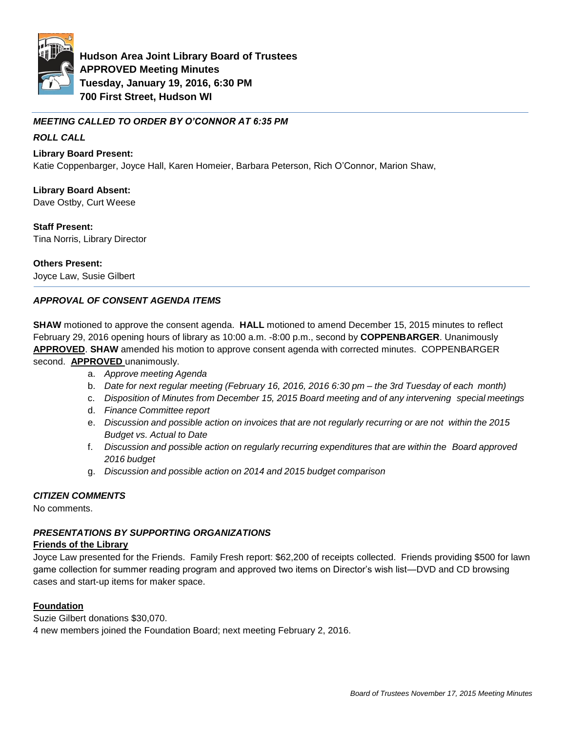

**Hudson Area Joint Library Board of Trustees APPROVED Meeting Minutes Tuesday, January 19, 2016, 6:30 PM 700 First Street, Hudson WI**

# *MEETING CALLED TO ORDER BY O'CONNOR AT 6:35 PM*

# *ROLL CALL*

## **Library Board Present:**

Katie Coppenbarger, Joyce Hall, Karen Homeier, Barbara Peterson, Rich O'Connor, Marion Shaw,

## **Library Board Absent:**

Dave Ostby, Curt Weese

## **Staff Present:**

Tina Norris, Library Director

## **Others Present:**

Joyce Law, Susie Gilbert

# *APPROVAL OF CONSENT AGENDA ITEMS*

**SHAW** motioned to approve the consent agenda. **HALL** motioned to amend December 15, 2015 minutes to reflect February 29, 2016 opening hours of library as 10:00 a.m. -8:00 p.m., second by **COPPENBARGER**. Unanimously **APPROVED**. **SHAW** amended his motion to approve consent agenda with corrected minutes. COPPENBARGER second. **APPROVED** unanimously.

- a. *Approve meeting Agenda*
- b. *Date for next regular meeting (February 16, 2016, 2016 6:30 pm – the 3rd Tuesday of each month)*
- c. *Disposition of Minutes from December 15, 2015 Board meeting and of any intervening special meetings*
- d. *Finance Committee report*
- e. *Discussion and possible action on invoices that are not regularly recurring or are not within the 2015 Budget vs. Actual to Date*
- f. *Discussion and possible action on regularly recurring expenditures that are within the Board approved 2016 budget*
- g. *Discussion and possible action on 2014 and 2015 budget comparison*

# *CITIZEN COMMENTS*

No comments.

# *PRESENTATIONS BY SUPPORTING ORGANIZATIONS*

#### **Friends of the Library**

Joyce Law presented for the Friends. Family Fresh report: \$62,200 of receipts collected. Friends providing \$500 for lawn game collection for summer reading program and approved two items on Director's wish list—DVD and CD browsing cases and start-up items for maker space.

#### **Foundation**

Suzie Gilbert donations \$30,070. 4 new members joined the Foundation Board; next meeting February 2, 2016.